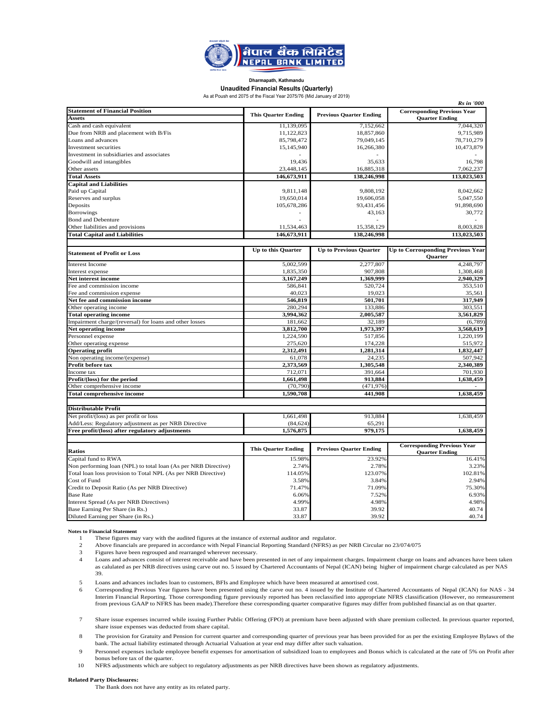

#### **Dharmapath, Kathmandu Unaudited Financial Results (Quarterly)**

As at Poush end 2075 of the Fiscal Year 2075/76 (Mid January of 2019)

| <b>Rs</b> in '000                                              |                            |                                |                                          |  |  |  |  |
|----------------------------------------------------------------|----------------------------|--------------------------------|------------------------------------------|--|--|--|--|
| <b>Statement of Financial Position</b>                         | <b>This Quarter Ending</b> | <b>Previous Quarter Ending</b> | <b>Corresponding Previous Year</b>       |  |  |  |  |
| <b>Assets</b>                                                  |                            |                                | <b>Quarter Ending</b>                    |  |  |  |  |
| Cash and cash equivalent                                       | 11,139,095                 | 7,152,662                      | 7,044,320                                |  |  |  |  |
| Due from NRB and placement with B/Fis                          | 11,122,823                 | 18,857,860                     | 9,715,989                                |  |  |  |  |
| Loans and advances                                             | 85,798,472                 | 79,049,145                     | 78,710,279                               |  |  |  |  |
| Investment securities                                          | 15,145,940                 | 16,266,380                     | 10,473,879                               |  |  |  |  |
| Investment in subsidiaries and associates                      |                            |                                |                                          |  |  |  |  |
| Goodwill and intangibles                                       | 19,436                     | 35,633                         | 16,798                                   |  |  |  |  |
| Other assets                                                   | 23,448,145                 | 16,885,318                     | 7.062.237                                |  |  |  |  |
| <b>Total Assets</b>                                            | 146,673,911                | 138,246,998                    | 113,023,503                              |  |  |  |  |
| <b>Capital and Liabilities</b>                                 |                            |                                |                                          |  |  |  |  |
| Paid up Capital                                                | 9.811.148                  | 9.808.192                      | 8.042.662                                |  |  |  |  |
| Reserves and surplus                                           | 19,650,014                 | 19,606,058                     | 5,047,550                                |  |  |  |  |
| Deposits                                                       | 105,678,286                | 93,431,456                     | 91,898,690                               |  |  |  |  |
| <b>Borrowings</b>                                              |                            | 43,163                         | 30,772                                   |  |  |  |  |
| <b>Bond and Debenture</b>                                      |                            |                                |                                          |  |  |  |  |
| Other liabilities and provisions                               | 11,534,463                 | 15,358,129                     | 8,003,828                                |  |  |  |  |
| <b>Total Capital and Liabilities</b>                           | 146,673,911                | 138,246,998                    | 113,023,503                              |  |  |  |  |
|                                                                |                            |                                |                                          |  |  |  |  |
|                                                                | Up to this Quarter         | <b>Up to Previous Quarter</b>  | <b>Up to Corrosponding Previous Year</b> |  |  |  |  |
| <b>Statement of Profit or Loss</b>                             |                            |                                | <b>Ouarter</b>                           |  |  |  |  |
| <b>Interest Income</b>                                         | 5,002,599                  | 2,277,807                      | 4,248,797                                |  |  |  |  |
| Interest expense                                               | 1,835,350                  | 907,808                        | 1,308,468                                |  |  |  |  |
| Net interest income                                            | 3,167,249                  | 1,369,999                      | 2,940,329                                |  |  |  |  |
| Fee and commission income                                      | 586,841                    | 520,724                        | 353,510                                  |  |  |  |  |
| Fee and commission expense                                     | 40,023                     | 19,023                         | 35,561                                   |  |  |  |  |
| Net fee and commission income                                  | 546,819                    | 501,701                        | 317,949                                  |  |  |  |  |
| Other operating income                                         | 280,294                    | 133,886                        | 303,551                                  |  |  |  |  |
| <b>Total operating income</b>                                  | 3,994,362                  | 2,005,587                      | 3,561,829                                |  |  |  |  |
| Impairment charge/(reversal) for loans and other losses        | 181,662                    | 32,189                         | (6,789)                                  |  |  |  |  |
| Net operating income                                           | 3,812,700                  | 1,973,397                      | 3,568,619                                |  |  |  |  |
| Personnel expense                                              | 1,224,590                  | 517,856                        | 1,220,199                                |  |  |  |  |
| Other operating expense                                        | 275,620                    | 174,228                        | 515,972                                  |  |  |  |  |
| <b>Operating profit</b>                                        | 2,312,491                  | 1,281,314                      | 1,832,447                                |  |  |  |  |
| Non operating income/(expense)                                 | 61,078                     | 24,235                         | 507,942                                  |  |  |  |  |
| Profit before tax                                              | 2,373,569                  | 1,305,548                      | 2,340,389                                |  |  |  |  |
| Income tax                                                     | 712,071                    | 391,664                        | 701,930                                  |  |  |  |  |
| Profit/(loss) for the period                                   | 1,661,498                  | 913,884                        | 1,638,459                                |  |  |  |  |
| Other comprehensive income                                     | (70, 790)                  | (471, 976)                     |                                          |  |  |  |  |
| <b>Total comprehensive income</b>                              | 1,590,708                  | 441,908                        | 1,638,459                                |  |  |  |  |
|                                                                |                            |                                |                                          |  |  |  |  |
| <b>Distributable Profit</b>                                    |                            |                                |                                          |  |  |  |  |
| Net profit/(loss) as per profit or loss                        | 1.661.498                  | 913.884                        | 1,638,459                                |  |  |  |  |
| Add/Less: Regulatory adjustment as per NRB Directive           | (84, 624)                  | 65,291                         |                                          |  |  |  |  |
| Free profit/(loss) after regulatory adjustments                | 1,576,875                  | 979,175                        | 1,638,459                                |  |  |  |  |
|                                                                |                            |                                |                                          |  |  |  |  |
|                                                                |                            |                                | <b>Corresponding Previous Year</b>       |  |  |  |  |
| <b>Ratios</b>                                                  | <b>This Quarter Ending</b> | <b>Previous Quarter Ending</b> | <b>Quarter Ending</b>                    |  |  |  |  |
| Capital fund to RWA                                            | 15.98%                     | 23.92%                         | 16.41%                                   |  |  |  |  |
| Non performing loan (NPL) to total loan (As per NRB Directive) | 2.74%                      | 2.78%                          | 3.23%                                    |  |  |  |  |
| Total loan loss provision to Total NPL (As per NRB Directive)  | 114.05%                    | 123.07%                        | 102.81%                                  |  |  |  |  |
| Cost of Fund                                                   | 3.58%                      | 3.84%                          | 2.94%                                    |  |  |  |  |
| Credit to Deposit Ratio (As per NRB Directive)                 | 71.47%                     | 71.09%                         | 75.30%                                   |  |  |  |  |
| <b>Base Rate</b>                                               | 6.06%                      | 7.52%                          | 6.93%                                    |  |  |  |  |
| Interest Spread (As per NRB Directives)                        | 4.99%                      | 4.98%                          | 4.98%                                    |  |  |  |  |
| Base Earning Per Share (in Rs.)                                | 33.87                      | 39.92                          | 40.74                                    |  |  |  |  |
| Diluted Earning per Share (in Rs.)                             | 33.87                      | 39.92                          | 40.74                                    |  |  |  |  |

**Notes to Financial Statement** 

1 These figures may vary with the audited figures at the instance of external auditor and regulator.

 $\mathcal{L}$ Above financials are prepared in accordance with Nepal Financial Reporting Standard (NFRS) as per NRB Circular no 23/074/075

- 3 Figures have been regrouped and rearranged wherever necessary.
- 4 Loans and advances consist of interest receivable and have been presented in net of any impairment charges. Impairment charge on loans and advances have been taken as calulated as per NRB directives using carve out no. 5 issued by Chartered Accountants of Nepal (ICAN) being higher of impairment charge calculated as per NAS 39.
- 5 Loans and advances includes loan to customers, BFIs and Employee which have been measured at amortised cost.
- 6 Corresponding Previous Year figures have been presented using the carve out no. 4 issued by the Institute of Chartered Accountants of Nepal (ICAN) for NAS - 34 Interim Financial Reporting. Those corresponding figure previously reported has been reclassified into appropriate NFRS classification (However, no remeasurement from previous GAAP to NFRS has been made).Therefore these corresponding quarter comparative figures may differ from published financial as on that quarter.
- 7 Share issue expenses incurred while issuing Further Public Offering (FPO) at premium have been adjusted with share premium collected. In previous quarter reported, share issue expenses was deducted from share capital.
- 8 The provision for Gratuity and Pension for current quarter and corresponding quarter of previous year has been provided for as per the existing Employee Bylaws of the bank. The actual liability estimated through Actuarial Valuation at year end may differ after such valuation.
- 9 Personnel expenses include employee benefit expenses for amortisation of subsidized loan to employees and Bonus which is calculated at the rate of 5% on Profit after bonus before tax of the quarter.

10 NFRS adjustments which are subject to regulatory adjustments as per NRB directives have been shown as regulatory adjustments.

#### **Related Party Disclosures:**

The Bank does not have any entity as its related party.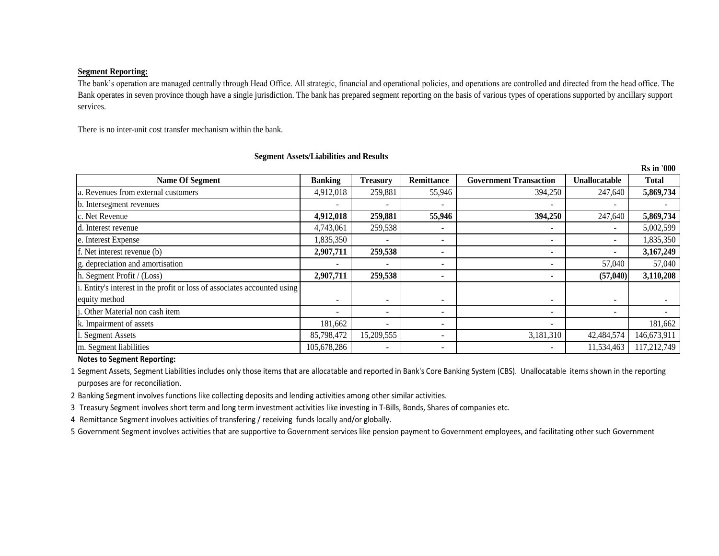#### **Segment Reporting:**

The bank's operation are managed centrally through Head Office. All strategic, financial and operational policies, and operations are controlled and directed from the head office. The Bank operates in seven province though have a single jurisdiction. The bank has prepared segment reporting on the basis of various types of operations supported by ancillary support services.

**Rs in '000**

There is no inter-unit cost transfer mechanism within the bank.

|                                                                          |                          |                          |                          |                               |               | <b>Rs</b> in '000 |
|--------------------------------------------------------------------------|--------------------------|--------------------------|--------------------------|-------------------------------|---------------|-------------------|
| <b>Name Of Segment</b>                                                   | <b>Banking</b>           | <b>Treasury</b>          | <b>Remittance</b>        | <b>Government Transaction</b> | Unallocatable | <b>Total</b>      |
| a. Revenues from external customers                                      | 4,912,018                | 259,881                  | 55,946                   | 394,250                       | 247,640       | 5,869,734         |
| b. Intersegment revenues                                                 |                          | $\overline{\phantom{a}}$ |                          |                               |               |                   |
| c. Net Revenue                                                           | 4,912,018                | 259,881                  | 55,946                   | 394,250                       | 247,640       | 5,869,734         |
| d. Interest revenue                                                      | 4,743,061                | 259,538                  |                          |                               |               | 5,002,599         |
| e. Interest Expense                                                      | 1,835,350                | $\overline{\phantom{a}}$ |                          |                               |               | 1,835,350         |
| f. Net interest revenue (b)                                              | 2,907,711                | 259,538                  |                          |                               |               | 3,167,249         |
| g. depreciation and amortisation                                         |                          | $\overline{\phantom{a}}$ |                          |                               | 57,040        | 57,040            |
| h. Segment Profit / $(Loss)$                                             | 2,907,711                | 259,538                  |                          |                               | (57,040)      | 3,110,208         |
| i. Entity's interest in the profit or loss of associates accounted using |                          |                          |                          |                               |               |                   |
| equity method                                                            | $\overline{\phantom{a}}$ | $\overline{\phantom{0}}$ | $\overline{\phantom{a}}$ |                               |               |                   |
| j. Other Material non cash item                                          |                          | $\overline{\phantom{0}}$ |                          |                               |               |                   |
| k. Impairment of assets                                                  | 181,662                  | $\overline{\phantom{a}}$ | $\overline{\phantom{a}}$ | $\overline{\phantom{a}}$      |               | 181,662           |
| 1. Segment Assets                                                        | 85,798,472               | 15,209,555               |                          | 3,181,310                     | 42,484,574    | 146,673,911       |
| m. Segment liabilities                                                   | 105,678,286              | $\overline{\phantom{a}}$ | $\overline{\phantom{a}}$ |                               | 11,534,463    | 117,212,749       |

**Segment Assets/Liabilities and Results**

**Notes to Segment Reporting:**

1 Segment Assets, Segment Liabilities includes only those items that are allocatable and reported in Bank's Core Banking System (CBS). Unallocatable items shown in the reporting purposes are for reconciliation.

2 Banking Segment involves functions like collecting deposits and lending activities among other similar activities.

3 Treasury Segment involves short term and long term investment activities like investing in T-Bills, Bonds, Shares of companies etc.

4 Remittance Segment involves activities of transfering / receiving funds locally and/or globally.

5 Government Segment involves activities that are supportive to Government services like pension payment to Government employees, and facilitating other such Government